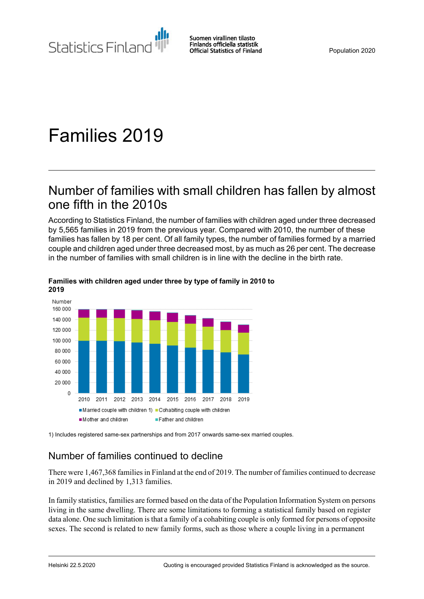Statistics Finland

Suomen virallinen tilasto Finlands officiella statistik **Official Statistics of Finland** 

# Families 2019

## Number of families with small children has fallen by almost one fifth in the 2010s

According to Statistics Finland, the number of families with children aged under three decreased by 5,565 families in 2019 from the previous year. Compared with 2010, the number of these families has fallen by 18 per cent. Of all family types, the number of families formed by a married couple and children aged under three decreased most, by as much as 26 per cent. The decrease in the number of families with small children is in line with the decline in the birth rate.



#### **Families with children aged under three by type of family in 2010 to 2019**

1) Includes registered same-sex partnerships and from 2017 onwards same-sex married couples.

## Number of families continued to decline

There were 1,467,368 families in Finland at the end of 2019. The number of families continued to decrease in 2019 and declined by 1,313 families.

In family statistics, families are formed based on the data of the Population Information System on persons living in the same dwelling. There are some limitations to forming a statistical family based on register data alone. One such limitation is that a family of a cohabiting couple is only formed for persons of opposite sexes. The second is related to new family forms, such as those where a couple living in a permanent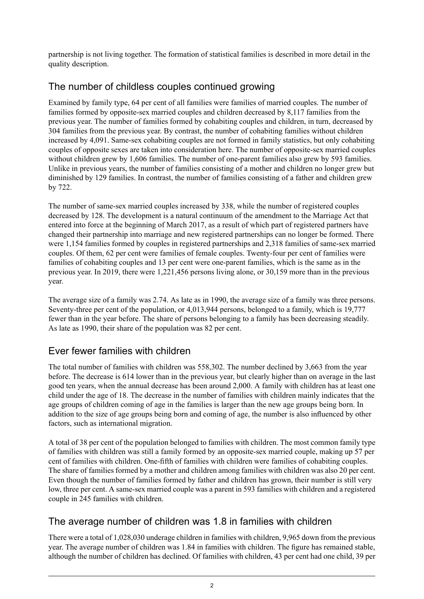partnership is not living together. The formation of statistical families is described in more detail in the quality description.

## The number of childless couples continued growing

Examined by family type, 64 per cent of all families were families of married couples. The number of families formed by opposite-sex married couples and children decreased by 8,117 families from the previous year. The number of families formed by cohabiting couples and children, in turn, decreased by 304 families from the previous year. By contrast, the number of cohabiting families without children increased by 4,091. Same-sex cohabiting couples are not formed in family statistics, but only cohabiting couples of opposite sexes are taken into consideration here. The number of opposite-sex married couples without children grew by 1,606 families. The number of one-parent families also grew by 593 families. Unlike in previous years, the number of families consisting of a mother and children no longer grew but diminished by 129 families. In contrast, the number of families consisting of a father and children grew by 722.

The number of same-sex married couples increased by 338, while the number of registered couples decreased by 128. The development is a natural continuum of the amendment to the Marriage Act that entered into force at the beginning of March 2017, as a result of which part of registered partners have changed their partnership into marriage and new registered partnerships can no longer be formed. There were 1,154 families formed by couples in registered partnerships and 2,318 families of same-sex married couples. Of them, 62 per cent were families of female couples. Twenty-four per cent of families were families of cohabiting couples and 13 per cent were one-parent families, which is the same as in the previous year. In 2019, there were 1,221,456 persons living alone, or 30,159 more than in the previous year.

The average size of a family was 2.74. As late as in 1990, the average size of a family was three persons. Seventy-three per cent of the population, or 4,013,944 persons, belonged to a family, which is 19,777 fewer than in the year before. The share of persons belonging to a family has been decreasing steadily. As late as 1990, their share of the population was 82 per cent.

## Ever fewer families with children

The total number of families with children was 558,302. The number declined by 3,663 from the year before. The decrease is 614 lower than in the previous year, but clearly higher than on average in the last good ten years, when the annual decrease has been around 2,000. A family with children has at least one child under the age of 18. The decrease in the number of families with children mainly indicates that the age groups of children coming of age in the families is larger than the new age groups being born. In addition to the size of age groups being born and coming of age, the number is also influenced by other factors, such as international migration.

A total of 38 per cent of the population belonged to families with children. The most common family type of families with children was still a family formed by an opposite-sex married couple, making up 57 per cent of families with children. One-fifth of families with children were families of cohabiting couples. The share of families formed by a mother and children among families with children was also 20 per cent. Even though the number of families formed by father and children has grown, their number is still very low, three per cent. A same-sex married couple was a parent in 593 families with children and a registered couple in 245 families with children.

## The average number of children was 1.8 in families with children

There were a total of 1,028,030 underage children in families with children, 9,965 down from the previous year. The average number of children was 1.84 in families with children. The figure has remained stable, although the number of children has declined. Of families with children, 43 per cent had one child, 39 per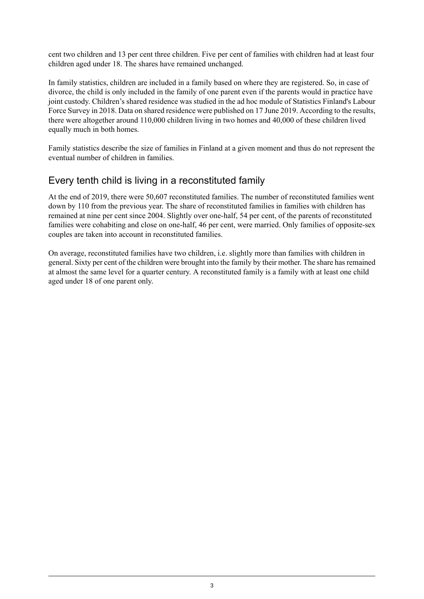cent two children and 13 per cent three children. Five per cent of families with children had at least four children aged under 18. The shares have remained unchanged.

In family statistics, children are included in a family based on where they are registered. So, in case of divorce, the child is only included in the family of one parent even if the parents would in practice have joint custody. Children's shared residence was studied in the ad hoc module of Statistics Finland's Labour Force Survey in 2018. Data on shared residence were published on 17 June 2019. According to the results, there were altogether around 110,000 children living in two homes and 40,000 of these children lived equally much in both homes.

Family statistics describe the size of families in Finland at a given moment and thus do not represent the eventual number of children in families.

## Every tenth child is living in a reconstituted family

At the end of 2019, there were 50,607 reconstituted families. The number of reconstituted families went down by 110 from the previous year. The share of reconstituted families in families with children has remained at nine per cent since 2004. Slightly over one-half, 54 per cent, of the parents of reconstituted families were cohabiting and close on one-half, 46 per cent, were married. Only families of opposite-sex couples are taken into account in reconstituted families.

On average, reconstituted families have two children, i.e. slightly more than families with children in general. Sixty per cent of the children were brought into the family by their mother. The share hasremained at almost the same level for a quarter century. A reconstituted family is a family with at least one child aged under 18 of one parent only.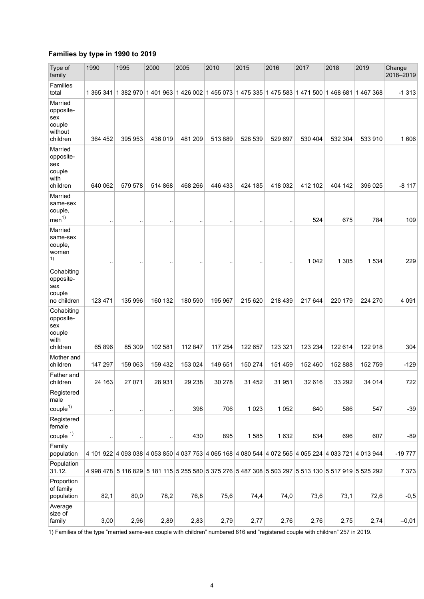### **Families by type in 1990 to 2019**

| Type of<br>family                                                     | 1990      | 1995      | 2000      | 2005      | 2010                 | 2015                                                                                                | 2016    | 2017    | 2018    | 2019    | Change<br>2018-2019 |
|-----------------------------------------------------------------------|-----------|-----------|-----------|-----------|----------------------|-----------------------------------------------------------------------------------------------------|---------|---------|---------|---------|---------------------|
| Families<br>total                                                     |           |           |           |           |                      | 1 365 341 1 382 970 1 401 963 1 426 002 1 455 073 1 475 335 1 475 583 1 471 500 1 468 681 1 467 368 |         |         |         |         | $-1313$             |
| Married<br>opposite-<br>sex<br>couple<br>without<br>children          | 364 452   | 395 953   | 436 019   | 481 209   | 513889               | 528 539                                                                                             | 529 697 | 530 404 | 532 304 | 533 910 | 1606                |
| Married<br>opposite-<br>sex<br>couple<br>with<br>children             | 640 062   | 579 578   | 514 868   | 468 266   | 446 433              | 424 185                                                                                             | 418 032 | 412 102 | 404 142 | 396 025 | $-8117$             |
| Married<br>same-sex<br>couple,<br>men <sup>1</sup>                    | $\sim$    | $\ddotsc$ | $\ddotsc$ | $\ddotsc$ | $\ddot{\phantom{0}}$ |                                                                                                     |         | 524     | 675     | 784     | 109                 |
| Married<br>same-sex<br>couple,<br>women<br>1)                         |           |           |           |           | $\ddotsc$            |                                                                                                     |         | 1 0 4 2 | 1 3 0 5 | 1 5 3 4 | 229                 |
| Cohabiting<br>opposite-<br>sex<br>couple<br>no children<br>Cohabiting | 123 471   | 135 996   | 160 132   | 180 590   | 195 967              | 215 620                                                                                             | 218 439 | 217 644 | 220 179 | 224 270 | 4 0 9 1             |
| opposite-<br>sex<br>couple<br>with<br>children                        | 65896     | 85 309    | 102 581   | 112 847   | 117 254              | 122 657                                                                                             | 123 321 | 123 234 | 122 614 | 122 918 | 304                 |
| Mother and<br>children                                                | 147 297   | 159 063   | 159 432   | 153 024   | 149 651              | 150 274                                                                                             | 151 459 | 152 460 | 152 888 | 152 759 | $-129$              |
| Father and<br>children                                                | 24 163    | 27 071    | 28 931    | 29 238    | 30 278               | 31 452                                                                                              | 31 951  | 32 616  | 33 29 2 | 34 014  | 722                 |
| Registered<br>male<br>couple <sup>1</sup><br>Registered               | $\ddotsc$ | $\ddotsc$ | $\ddotsc$ | 398       | 706                  | 1 0 2 3                                                                                             | 1 0 5 2 | 640     | 586     | 547     | $-39$               |
| female<br>$couple$ <sup><math>1)</math></sup>                         | $\ddotsc$ | $\ddotsc$ | $\ddotsc$ | 430       | 895                  | 1585                                                                                                | 1 6 3 2 | 834     | 696     | 607     | $-89$               |
| Family<br>population                                                  |           |           |           |           |                      | 4 101 922 4 093 038 4 053 850 4 037 753 4 065 168 4 080 544 4 072 565 4 055 224 4 033 721 4 013 944 |         |         |         |         | $-19777$            |
| Population<br>31.12.                                                  |           |           |           |           |                      | 4 998 478 5 116 829 5 181 115 5 255 580 5 375 276 5 487 308 5 503 297 5 513 130 5 517 919 5 525 292 |         |         |         |         | 7 3 7 3             |
| Proportion<br>of family<br>population                                 | 82,1      | 80,0      | 78,2      | 76,8      | 75,6                 | 74,4                                                                                                | 74,0    | 73,6    | 73,1    | 72,6    | $-0,5$              |
| Average<br>size of<br>family                                          | 3,00      | 2,96      | 2,89      | 2,83      | 2,79                 | 2,77                                                                                                | 2,76    | 2,76    | 2,75    | 2,74    | $-0,01$             |

1) Families of the type "married same-sex couple with children" numbered 616 and "registered couple with children" 257 in 2019.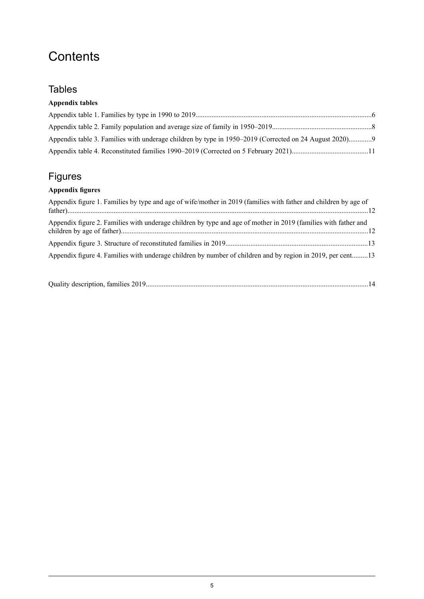## **Contents**

## **Tables**

### **Appendix tables**

| Appendix table 3. Families with underage children by type in 1950–2019 (Corrected on 24 August 2020)9 |  |
|-------------------------------------------------------------------------------------------------------|--|
|                                                                                                       |  |

## Figures

### **Appendix figures**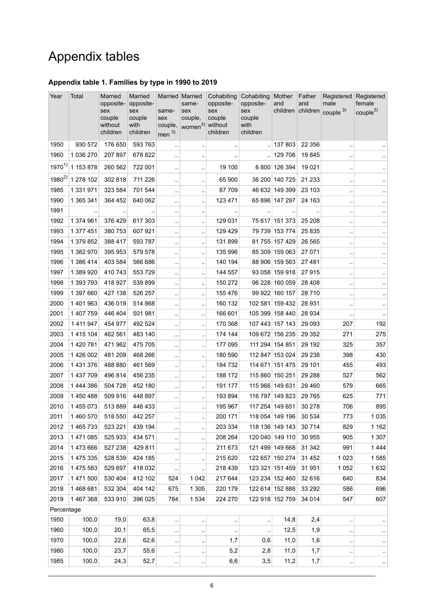## Appendix tables

#### <span id="page-5-0"></span>**Appendix table 1. Families by type in 1990 to 2019**

| Year       | Total                | Married<br>opposite-<br>sex<br>couple<br>without<br>children | Married<br>opposite-<br>sex<br>couple<br>with<br>children | Married Married<br>same-<br>sex<br>couple,<br>men $3)$ | same-<br>sex<br>couple,<br>women <sup>3)</sup> without | Cohabiting<br>opposite-<br>sex<br>couple<br>children | Cohabiting<br>opposite-<br>sex<br>couple<br>with<br>children | Mother<br>and   | Father<br>and | Registered<br>male<br>children children couple 3) | Registered<br>female<br>couple <sup>3</sup> |
|------------|----------------------|--------------------------------------------------------------|-----------------------------------------------------------|--------------------------------------------------------|--------------------------------------------------------|------------------------------------------------------|--------------------------------------------------------------|-----------------|---------------|---------------------------------------------------|---------------------------------------------|
| 1950       | 930 572              | 176 650                                                      | 593 763                                                   |                                                        | $\cdot$                                                | $\ddotsc$                                            |                                                              | 137 803         | 22 356        |                                                   |                                             |
| 1960       | 1 036 270            | 207 897                                                      | 678 822                                                   | $\cdot$ .                                              | $\cdot$ .                                              |                                                      | $\ddot{\phantom{1}}$                                         | 129 706         | 19845         | $\ddot{\phantom{a}}$                              |                                             |
| $1970^{1}$ | 1 153 878            | 260 562                                                      | 722 001                                                   | ٠.                                                     | $\ddot{\phantom{1}}$                                   | 19 100                                               |                                                              | 6 800 126 394   | 19 0 21       |                                                   | $\sim$                                      |
| $1980^{2}$ | 1 278 102            | 302 818                                                      | 711 226                                                   | ٠.                                                     | $\ddot{\phantom{a}}$                                   | 65 900                                               |                                                              | 36 200 140 725  | 21 233        |                                                   | $\sim$                                      |
| 1985       | 1 331 971            | 323 584                                                      | 701 544                                                   | $\ddotsc$                                              | $\ddotsc$                                              | 87709                                                |                                                              | 46 632 149 399  | 23 103        | $\ddotsc$                                         | $\sim$                                      |
| 1990       | 1 365 341            | 364 452                                                      | 640 062                                                   | $\cdot$ .                                              | $\ddot{\phantom{1}}$                                   | 123 471                                              |                                                              | 65 896 147 297  | 24 163        | $\ddotsc$                                         | $\epsilon$                                  |
| 1991       | $\ddot{\phantom{a}}$ | $\cdot$ .                                                    |                                                           | $\cdot$ .                                              | $\cdot$ .                                              | $\sim$                                               | $\ddot{\phantom{1}}$                                         | $\cdot$ .       |               | $\ddot{\phantom{a}}$                              | $\sim$                                      |
| 1992       | 1 374 961            | 376 429                                                      | 617 303                                                   | ٠.                                                     | $\ddot{\phantom{a}}$                                   | 129 031                                              |                                                              | 75 617 151 373  | 25 208        |                                                   | $\ddotsc$                                   |
| 1993       | 1 377 451            | 380 753                                                      | 607 921                                                   | $\ddotsc$                                              | $\ddot{\phantom{a}}$                                   | 129 429                                              |                                                              | 79 739 153 774  | 25 8 35       |                                                   | $\epsilon$                                  |
| 1994       | 1 379 852            | 388 417                                                      | 593 787                                                   | $\ddotsc$                                              | $\cdot$ .                                              | 131899                                               |                                                              | 81 755 157 429  | 26 5 65       |                                                   | $\sim$                                      |
| 1995       | 1 382 970            | 395 953                                                      | 579 578                                                   | $\ddotsc$                                              | $\ddot{\phantom{a}}$                                   | 135 996                                              |                                                              | 85 309 159 063  | 27 071        |                                                   | $\ddot{\phantom{1}}$                        |
| 1996       | 1 386 414            | 403 584                                                      | 566 686                                                   | $\ddotsc$                                              | $\ddotsc$                                              | 140 194                                              |                                                              | 88 906 159 563  | 27 481        | $\ddotsc$                                         | $\ddotsc$                                   |
| 1997       | 1 389 920            | 410 743                                                      | 553 729                                                   | $\cdot$ .                                              | $\ddotsc$                                              | 144 557                                              |                                                              | 93 058 159 918  | 27915         |                                                   | $\sim$                                      |
| 1998       | 1 393 793            | 418 927                                                      | 539 899                                                   | $\ddotsc$                                              | $\ldots$                                               | 150 272                                              |                                                              | 96 228 160 059  | 28 4 08       |                                                   | $\ddot{\phantom{1}}$                        |
| 1999       | 1 397 660            | 427 138                                                      | 526 257                                                   |                                                        | $\ddot{\phantom{a}}$                                   | 155 476                                              |                                                              | 99 922 160 157  | 28710         |                                                   | $\cdot$ .                                   |
| 2000       | 1 401 963            | 436 019                                                      | 514 868                                                   | $\ddotsc$                                              | $\ddotsc$                                              | 160 132                                              |                                                              | 102 581 159 432 | 28 9 31       |                                                   | $\ddot{\phantom{1}}$                        |
| 2001       | 1 407 759            | 446 404                                                      | 501 981                                                   | $\ddotsc$                                              | $\ddotsc$                                              | 166 601                                              |                                                              | 105 399 158 440 | 28 934        |                                                   | $\ddot{\phantom{1}}$                        |
| 2002       | 1 411 947            | 454 977                                                      | 492 524                                                   | $\cdot$ .                                              | $\ddotsc$                                              | 170 368                                              |                                                              | 107 443 157 143 | 29 093        | 207                                               | 192                                         |
| 2003       | 1 415 104            | 462 561                                                      | 483 140                                                   | $\cdot$ .                                              | $\ddot{\phantom{1}}$                                   | 174 144                                              |                                                              | 109 672 156 235 | 29 3 5 2      | 271                                               | 275                                         |
| 2004       | 1 420 781            | 471 962                                                      | 475 705                                                   |                                                        | $\ddot{\phantom{a}}$                                   | 177 095                                              |                                                              | 111 294 154 851 | 29 192        | 325                                               | 357                                         |
| 2005       | 1 426 002            | 481 209                                                      | 468 266                                                   | $\ddotsc$                                              | $\ddotsc$                                              | 180 590                                              |                                                              | 112 847 153 024 | 29 238        | 398                                               | 430                                         |
| 2006       | 1 431 376            | 488 880                                                      | 461 569                                                   | $\ddotsc$                                              | $\ddot{\phantom{0}}$                                   | 184 732                                              |                                                              | 114 671 151 475 | 29 101        | 455                                               | 493                                         |
| 2007       | 1 437 709            | 496 814                                                      | 456 235                                                   | $\ddotsc$                                              | $\ddot{\phantom{a}}$                                   | 188 172                                              |                                                              | 115 860 150 251 | 29 288        | 527                                               | 562                                         |
| 2008       | 1 444 386            | 504 728                                                      | 452 180                                                   | $\cdot$ .                                              | $\cdot$ .                                              | 191 177                                              | 115 966 149 631                                              |                 | 29 4 60       | 579                                               | 665                                         |
| 2009       | 1 450 488            | 509 916                                                      | 448 897                                                   | $\cdot$ .                                              | $\cdot$ .                                              | 193 894                                              |                                                              | 116 797 149 823 | 29 7 65       | 625                                               | 771                                         |
| 2010       | 1 455 073            | 513889                                                       | 446 433                                                   | Ω.                                                     | $\ddot{\phantom{1}}$                                   | 195 967                                              |                                                              | 117 254 149 651 | 30 278        | 706                                               | 895                                         |
| 2011       | 1 460 570            | 518 550                                                      | 442 257                                                   |                                                        | $\cdot$ .                                              | 200 171                                              |                                                              | 118 054 149 196 | 30 534        | 773                                               | 1 0 3 5                                     |
| 2012       | 1 465 733            | 523 221                                                      | 439 194                                                   | ٠.                                                     | $\ddotsc$                                              | 203 334                                              |                                                              | 118 136 149 143 | 30714         | 829                                               | 1 1 6 2                                     |
| 2013       | 1 471 085            | 525 933                                                      | 434 571                                                   | $\cdot$ .                                              | $\ddot{\phantom{1}}$                                   | 208 264                                              |                                                              | 120 040 149 110 | 30 955        | 905                                               | 1 3 0 7                                     |
| 2014       | 1 473 666            | 527 238                                                      | 429 811                                                   | $\cdot$ .                                              | $\ldots$                                               | 211 673                                              |                                                              | 121 499 149 668 | 31 342        | 991                                               | 1444                                        |
| 2015       | 1 475 335            | 528 539                                                      | 424 185                                                   | $\cdot$ .                                              | $\ddot{\phantom{0}}$                                   | 215 620                                              |                                                              | 122 657 150 274 | 31 452        | 1023                                              | 1585                                        |
| 2016       | 1 475 583            | 529 697                                                      | 418 032                                                   | $\ddotsc$                                              | $\cdot$                                                | 218 439                                              |                                                              | 123 321 151 459 | 31 951        | 1 0 5 2                                           | 1632                                        |
| 2017       | 1 471 500            | 530 404                                                      | 412 102                                                   | 524                                                    | 1 0 4 2                                                | 217 644                                              |                                                              | 123 234 152 460 | 32 616        | 640                                               | 834                                         |
| 2018       | 1468681              | 532 304                                                      | 404 142                                                   | 675                                                    | 1 3 0 5                                                | 220 179                                              |                                                              | 122 614 152 888 | 33 29 2       | 586                                               | 696                                         |
| 2019       | 1 467 368            | 533 910                                                      | 396 025                                                   | 784                                                    | 1 5 3 4                                                | 224 270                                              |                                                              | 122 918 152 759 | 34 0 14       | 547                                               | 607                                         |
| Percentage |                      |                                                              |                                                           |                                                        |                                                        |                                                      |                                                              |                 |               |                                                   |                                             |
| 1950       | 100,0                | 19,0                                                         | 63,8                                                      | $\cdot$ .                                              | $\cdot$                                                | $\cdot$                                              | $\ddot{\phantom{0}}$                                         | 14,8            | 2,4           |                                                   | $\cdot$                                     |
| 1960       | 100,0                | 20,1                                                         | 65,5                                                      | $\ddot{\phantom{0}}$                                   | $\cdot$                                                | $\cdot$                                              | $\ddotsc$                                                    | 12,5            | 1,9           |                                                   | $\cdot$ .                                   |
| 1970       | 100,0                | 22,6                                                         | 62,6                                                      | $\ddotsc$                                              | $\cdot$ .                                              | 1,7                                                  | 0,6                                                          | 11,0            | 1,6           |                                                   | $\cdot$ .                                   |
| 1980       | 100,0                | 23,7                                                         | 55,6                                                      | $\ddot{\phantom{1}}$                                   | $\ddot{\phantom{1}}$                                   | 5,2                                                  | 2,8                                                          | 11,0            | 1,7           | $\ddotsc$                                         | $\epsilon$                                  |
| 1985       | 100,0                | 24,3                                                         | 52,7                                                      | $\cdot$ .                                              | $\cdot$ .                                              | 6,6                                                  | 3,5                                                          | 11,2            | 1,7           |                                                   | $\cdot$ .                                   |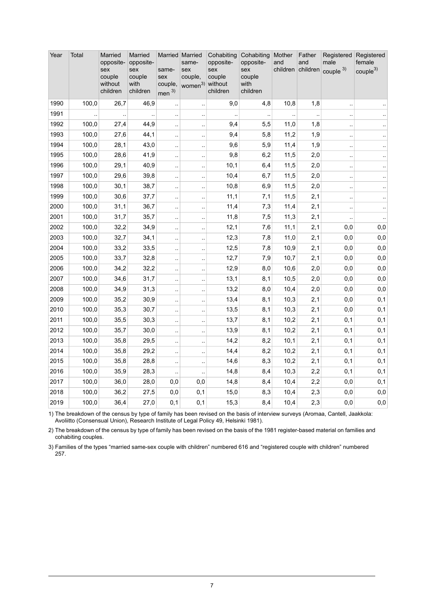| Year | Total | Married<br>opposite-<br>sex<br>couple<br>without<br>children | Married<br>opposite-<br>sex<br>couple<br>with<br>children | same-<br>sex<br>couple,<br>men <sup>3</sup> | Married Married<br>same-<br>sex<br>couple,<br>women <sup>3)</sup> without | Cohabiting<br>opposite-<br>sex<br>couple<br>children | Cohabiting<br>opposite-<br>sex<br>couple<br>with<br>children | Mother<br>and<br>children | Father<br>and<br>children | Registered<br>male<br>couple $3)$ | Registered<br>female<br>couple <sup>3)</sup> |
|------|-------|--------------------------------------------------------------|-----------------------------------------------------------|---------------------------------------------|---------------------------------------------------------------------------|------------------------------------------------------|--------------------------------------------------------------|---------------------------|---------------------------|-----------------------------------|----------------------------------------------|
| 1990 | 100,0 | 26,7                                                         | 46,9                                                      | $\ddotsc$                                   | $\ddot{\phantom{a}}$                                                      | 9,0                                                  | 4,8                                                          | 10,8                      | 1,8                       | $\ddot{\phantom{a}}$              |                                              |
| 1991 |       |                                                              |                                                           | $\ddotsc$                                   | $\ddotsc$                                                                 |                                                      |                                                              |                           |                           |                                   |                                              |
| 1992 | 100,0 | 27,4                                                         | 44,9                                                      | $\ddot{\phantom{0}}$                        | $\ddot{\phantom{1}}$                                                      | 9,4                                                  | 5,5                                                          | 11,0                      | 1,8                       | $\ddot{\phantom{1}}$ .            | $\cdot$ .                                    |
| 1993 | 100,0 | 27,6                                                         | 44,1                                                      | ÷.                                          | $\ddot{\phantom{a}}$                                                      | 9,4                                                  | 5,8                                                          | 11,2                      | 1,9                       | $\ddot{\phantom{a}}$              | $\ddotsc$                                    |
| 1994 | 100,0 | 28,1                                                         | 43,0                                                      | ÷.                                          | ÷.                                                                        | 9,6                                                  | 5,9                                                          | 11,4                      | 1,9                       | $\ddotsc$                         | $\ddotsc$                                    |
| 1995 | 100,0 | 28,6                                                         | 41,9                                                      | $\ddotsc$                                   | $\ddot{\phantom{1}}$                                                      | 9,8                                                  | 6,2                                                          | 11,5                      | 2,0                       | $\ddotsc$                         | $\ddotsc$                                    |
| 1996 | 100,0 | 29,1                                                         | 40,9                                                      | $\ddotsc$                                   | $\ddot{\phantom{a}}$                                                      | 10,1                                                 | 6,4                                                          | 11,5                      | 2,0                       | $\ddotsc$                         | ä.                                           |
| 1997 | 100,0 | 29,6                                                         | 39,8                                                      | $\ddot{\phantom{a}}$                        | $\ddot{\phantom{a}}$                                                      | 10,4                                                 | 6,7                                                          | 11,5                      | 2,0                       |                                   | $\ddotsc$                                    |
| 1998 | 100,0 | 30,1                                                         | 38,7                                                      | $\ddotsc$                                   | $\ddotsc$                                                                 | 10,8                                                 | 6,9                                                          | 11,5                      | 2,0                       | $\ddot{\phantom{a}}$              | $\ddotsc$                                    |
| 1999 | 100,0 | 30,6                                                         | 37,7                                                      | $\ddot{\phantom{a}}$                        | $\ddot{\phantom{a}}$                                                      | 11,1                                                 | 7,1                                                          | 11,5                      | 2,1                       | $\ddotsc$                         | ä.                                           |
| 2000 | 100,0 | 31,1                                                         | 36,7                                                      | $\ddot{\phantom{a}}$                        | $\ddot{\phantom{a}}$                                                      | 11,4                                                 | 7,3                                                          | 11,4                      | 2,1                       | $\ddotsc$                         | $\ddot{\phantom{1}}$                         |
| 2001 | 100,0 | 31,7                                                         | 35,7                                                      | $\ddotsc$                                   | $\ddot{\phantom{1}}$                                                      | 11,8                                                 | 7,5                                                          | 11,3                      | 2,1                       |                                   | $\ddotsc$                                    |
| 2002 | 100,0 | 32,2                                                         | 34,9                                                      | $\ddotsc$                                   | $\ddotsc$                                                                 | 12,1                                                 | 7,6                                                          | 11,1                      | 2,1                       | 0,0                               | 0,0                                          |
| 2003 | 100,0 | 32,7                                                         | 34,1                                                      | $\ddot{\phantom{a}}$                        | $\ddot{\phantom{a}}$                                                      | 12,3                                                 | 7,8                                                          | 11,0                      | 2,1                       | 0,0                               | 0,0                                          |
| 2004 | 100,0 | 33,2                                                         | 33,5                                                      | $\ddot{\phantom{0}}$                        | $\ddot{\phantom{1}}$                                                      | 12,5                                                 | 7,8                                                          | 10,9                      | 2,1                       | 0,0                               | 0,0                                          |
| 2005 | 100,0 | 33,7                                                         | 32,8                                                      | ÷.                                          | $\ddotsc$                                                                 | 12,7                                                 | 7,9                                                          | 10,7                      | 2,1                       | 0,0                               | 0,0                                          |
| 2006 | 100,0 | 34,2                                                         | 32,2                                                      | ÷.                                          | $\ddot{\phantom{a}}$                                                      | 12,9                                                 | 8,0                                                          | 10,6                      | 2,0                       | 0,0                               | 0,0                                          |
| 2007 | 100,0 | 34,6                                                         | 31,7                                                      | $\ddot{\phantom{0}}$                        | $\ddot{\phantom{1}}$                                                      | 13,1                                                 | 8,1                                                          | 10,5                      | 2,0                       | 0,0                               | 0,0                                          |
| 2008 | 100,0 | 34,9                                                         | 31,3                                                      | Ϋ,                                          | $\ddotsc$                                                                 | 13,2                                                 | 8,0                                                          | 10,4                      | 2,0                       | 0,0                               | 0,0                                          |
| 2009 | 100,0 | 35,2                                                         | 30,9                                                      | $\ddotsc$                                   | $\ddotsc$                                                                 | 13,4                                                 | 8,1                                                          | 10,3                      | 2,1                       | 0,0                               | 0,1                                          |
| 2010 | 100,0 | 35,3                                                         | 30,7                                                      | ÷.                                          |                                                                           | 13,5                                                 | 8,1                                                          | 10,3                      | 2,1                       | 0,0                               | 0, 1                                         |
| 2011 | 100,0 | 35,5                                                         | 30,3                                                      | $\ddotsc$                                   | $\ddotsc$                                                                 | 13,7                                                 | 8,1                                                          | 10,2                      | 2,1                       | 0,1                               | 0,1                                          |
| 2012 | 100,0 | 35,7                                                         | 30,0                                                      | $\ddot{\phantom{a}}$                        | $\bar{\mathbf{r}}$                                                        | 13,9                                                 | 8,1                                                          | 10,2                      | 2,1                       | 0,1                               | 0,1                                          |
| 2013 | 100,0 | 35,8                                                         | 29,5                                                      | Ϋ,                                          | $\ddot{\phantom{a}}$                                                      | 14,2                                                 | 8,2                                                          | 10,1                      | 2,1                       | 0,1                               | 0,1                                          |
| 2014 | 100,0 | 35,8                                                         | 29,2                                                      | $\ddot{\phantom{0}}$                        | $\ddotsc$                                                                 | 14,4                                                 | 8,2                                                          | 10,2                      | 2,1                       | 0,1                               | 0, 1                                         |
| 2015 | 100,0 | 35,8                                                         | 28,8                                                      | $\ddotsc$                                   | $\ddot{\phantom{a}}$                                                      | 14,6                                                 | 8,3                                                          | 10,2                      | 2,1                       | 0,1                               | 0,1                                          |
| 2016 | 100,0 | 35,9                                                         | 28,3                                                      | $\ddot{\phantom{0}}$                        | ă,                                                                        | 14,8                                                 | 8,4                                                          | 10,3                      | 2,2                       | 0,1                               | 0,1                                          |
| 2017 | 100,0 | 36,0                                                         | 28,0                                                      | 0,0                                         | 0,0                                                                       | 14,8                                                 | 8,4                                                          | 10,4                      | 2,2                       | 0,0                               | 0,1                                          |
| 2018 | 100,0 | 36,2                                                         | 27,5                                                      | 0,0                                         | 0,1                                                                       | 15,0                                                 | 8,3                                                          | 10,4                      | 2,3                       | 0,0                               | 0,0                                          |
| 2019 | 100,0 | 36,4                                                         | 27,0                                                      | 0,1                                         | 0,1                                                                       | 15,3                                                 | 8,4                                                          | 10,4                      | 2,3                       | 0,0                               | $_{0,0}$                                     |

The breakdown of the census by type of family has been revised on the basis of interview surveys (Aromaa, Cantell, Jaakkola: Avoliitto (Consensual Union), Research Institute of Legal Policy 49, Helsinki 1981). 1)

2) The breakdown of the census by type of family has been revised on the basis of the 1981 register-based material on families and cohabiting couples.

Families of the types "married same-sex couple with children" numbered 616 and "registered couple with children" numbered 3) 257.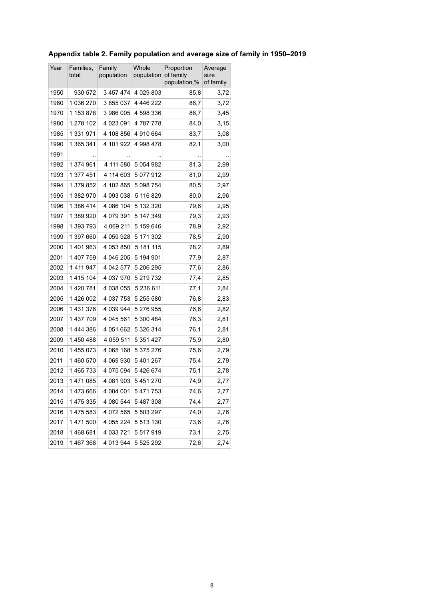<span id="page-7-0"></span>

|  | Appendix table 2. Family population and average size of family in 1950–2019 |  |  |  |
|--|-----------------------------------------------------------------------------|--|--|--|
|--|-----------------------------------------------------------------------------|--|--|--|

| Year | Families,<br>total | Family<br>population | Whole<br>population | Proportion<br>of family<br>population,% | Average<br>size<br>of family |  |
|------|--------------------|----------------------|---------------------|-----------------------------------------|------------------------------|--|
| 1950 | 930 572            | 3 457 474            | 4 0 29 8 0 3        | 85,8                                    | 3,72                         |  |
| 1960 | 1 036 270          | 3855037              | 4 446 222           | 86,7                                    | 3,72                         |  |
| 1970 | 1 153 878          | 3 986 005            | 4 598 336           | 86,7                                    | 3,45                         |  |
| 1980 | 1 278 102          | 4 023 091            | 4787778             | 84,0                                    | 3,15                         |  |
| 1985 | 1 331 971          | 4 108 856            | 4 910 664           | 83,7                                    | 3,08                         |  |
| 1990 | 1 365 341          | 4 101 922            | 4 998 478           | 82,1                                    | 3,00                         |  |
| 1991 |                    |                      |                     |                                         |                              |  |
| 1992 | 1 374 961          | 4 111 580            | 5 0 5 4 9 8 2       | 81,3                                    | 2,99                         |  |
| 1993 | 1 377 451          | 4 114 603            | 5 077 912           | 81,0                                    | 2,99                         |  |
| 1994 | 1 379 852          | 4 102 865            | 5 098 754           | 80,5                                    | 2,97                         |  |
| 1995 | 1 382 970          | 4 093 038            | 5 116 829           | 80,0                                    | 2,96                         |  |
| 1996 | 1 386 414          | 4 086 104            | 5 132 320           | 79,6                                    | 2,95                         |  |
| 1997 | 1 389 920          | 4 079 391            | 5 147 349           | 79,3                                    | 2,93                         |  |
| 1998 | 1 393 793          | 4 069 211            | 5 159 646           | 78,9                                    | 2,92                         |  |
| 1999 | 1 397 660          | 4 059 928            | 5 171 302           | 78,5                                    | 2,90                         |  |
| 2000 | 1401963            | 4 053 850            | 5 181 115           | 78,2                                    | 2,89                         |  |
| 2001 | 1 407 759          | 4 046 205            | 5 194 901           | 77,9                                    | 2,87                         |  |
| 2002 | 1 4 1 9 9 4 7      | 4 042 577            | 5 206 295           | 77,6                                    | 2,86                         |  |
| 2003 | 1415 104           | 4 037 970            | 5 219 732           | 77,4                                    | 2,85                         |  |
| 2004 | 1 420 781          | 4 038 055            | 5 236 611           | 77,1                                    | 2,84                         |  |
| 2005 | 1 426 002          | 4 037 753            | 5 255 580           | 76,8                                    | 2,83                         |  |
| 2006 | 1 431 376          | 4 039 944            | 5 276 955           | 76,6                                    | 2,82                         |  |
| 2007 | 1 437 709          | 4 045 561            | 5 300 484           | 76,3                                    | 2,81                         |  |
| 2008 | 1 444 386          | 4 051 662            | 5 326 314           | 76,1                                    | 2,81                         |  |
| 2009 | 1450488            | 4 059 511            | 5 351 427           | 75,9                                    | 2,80                         |  |
| 2010 | 1455073            | 4 065 168            | 5 375 276           | 75,6                                    | 2,79                         |  |
| 2011 | 1460570            | 4 069 930            | 5 401 267           | 75,4                                    | 2,79                         |  |
| 2012 | 1465733            | 4 075 094            | 5426674             | 75,1                                    | 2,78                         |  |
| 2013 | 1471085            | 4 081 903            | 5 451 270           | 74,9                                    | 2,77                         |  |
| 2014 | 1473666            | 4 084 001            | 5 471 753           | 74,6                                    | 2,77                         |  |
| 2015 | 1 475 335          | 4 080 544            | 5 487 308           | 74,4                                    | 2,77                         |  |
| 2016 | 1475 583           | 4 072 565            | 5 503 297           | 74,0                                    | 2,76                         |  |
| 2017 | 1 471 500          | 4 055 224            | 5 513 130           | 73,6                                    | 2,76                         |  |
| 2018 | 1468681            | 4 033 721            | 5 517 919           | 73,1                                    | 2,75                         |  |
| 2019 | 1467368            | 4 013 944            | 5 525 292           | 72,6                                    | 2,74                         |  |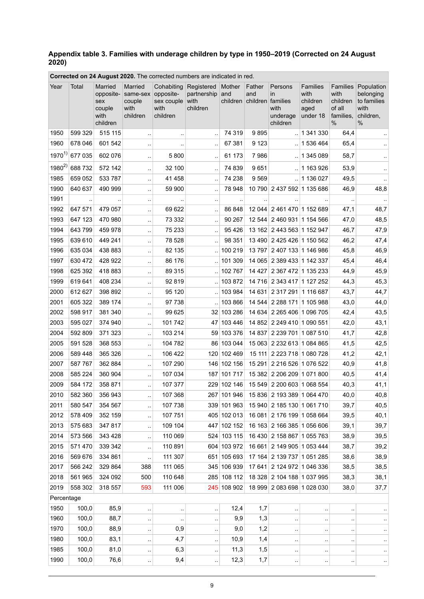#### <span id="page-8-0"></span>**Appendix table 3. Families with underage children by type in 1950–2019 (Corrected on 24 August 2020)**

| Year               | Total             | Married<br>opposite-<br>sex<br>couple<br>with<br>children | Married<br>same-sex opposite-<br>couple<br>with<br>children | Cohabiting<br>sex couple<br>with<br>children | Registered<br>partnership<br>with<br>children | Mother<br>and<br>children | Father<br>and<br>children families | Persons<br><i>in</i><br>with<br>underage<br>children     | Families<br>with<br>children<br>aged<br>under 18 | Families<br>with<br>children<br>of all<br>families.<br>% | Population<br>belonging<br>to families<br>with<br>children,<br>% |
|--------------------|-------------------|-----------------------------------------------------------|-------------------------------------------------------------|----------------------------------------------|-----------------------------------------------|---------------------------|------------------------------------|----------------------------------------------------------|--------------------------------------------------|----------------------------------------------------------|------------------------------------------------------------------|
| 1950               | 599 329           | 515 115                                                   | $\ddotsc$                                                   | $\ddot{\phantom{a}}$                         |                                               | 74 319                    | 9895                               |                                                          | 1 341 330                                        | 64,4                                                     |                                                                  |
| 1960               | 678 046           | 601 542                                                   | $\ddotsc$                                                   |                                              | ٠.                                            | 67 381                    | 9 1 2 3                            | ă.                                                       | 1 536 464                                        | 65,4                                                     |                                                                  |
| $1970^{1}$         | 677 035           | 602 076                                                   | $\ddot{\phantom{1}}$                                        | 5800                                         | ٠.                                            | 61 173                    | 7986                               |                                                          | 1 345 089                                        | 58,7                                                     |                                                                  |
| $1980^{2}$         | 688 732           | 572 142                                                   | $\ddotsc$                                                   | 32 100                                       |                                               | 74 839                    | 9651                               |                                                          | .11163926                                        | 53,9                                                     |                                                                  |
| 1985               | 659 052           | 533 787                                                   | $\ddot{\phantom{a}}$                                        | 41 458                                       |                                               | 74 238                    | 9569                               | $\mathbf{r}$                                             | 1 136 027                                        | 49,5                                                     |                                                                  |
| 1990               | 640 637           | 490 999                                                   | $\ddot{\phantom{a}}$                                        | 59 900                                       |                                               | 78 948                    |                                    | 10 790 2 437 592 1 135 686                               |                                                  | 46,9                                                     | 48,8                                                             |
| 1991               | $\ddotsc$         | $\ddotsc$                                                 | $\sim$                                                      | $\ddotsc$                                    | ٠.                                            | $\cdot$ .                 | $\ddot{\phantom{a}}$ .             |                                                          |                                                  |                                                          | $\cdot$ .                                                        |
| 1992               | 647 571           | 479 057                                                   | $\ddotsc$                                                   | 69 622                                       |                                               | 86 848                    |                                    | 12 044 2 461 470 1 152 689                               |                                                  | 47,1                                                     | 48,7                                                             |
| 1993               | 647 123           | 470 980                                                   | $\ddotsc$                                                   | 73 332                                       | $\ddotsc$                                     | 90 267                    |                                    | 12 544 2 460 931 1 154 566                               |                                                  | 47,0                                                     | 48,5                                                             |
| 1994               | 643799<br>639 610 | 459 978                                                   | $\ddotsc$                                                   | 75 233<br>78 528                             |                                               | 95 4 26<br>98 351         |                                    | 13 162 2 443 563 1 152 947                               |                                                  | 46,7                                                     | 47,9                                                             |
| 1995<br>1996       | 635 034           | 449 241<br>438 883                                        | $\ddotsc$                                                   | 82 135                                       | μ.                                            | 100 219                   |                                    | 13 490 2 425 426 1 150 562<br>13 797 2 407 133 1 146 986 |                                                  | 46,2<br>45,8                                             | 47,4<br>46,9                                                     |
| 1997               | 630 472           | 428 922                                                   | $\ddot{\phantom{a}}$                                        | 86 176                                       |                                               | 101 309                   |                                    | 14 065 2 389 433 1 142 337                               |                                                  | 45,4                                                     | 46,4                                                             |
| 1998               | 625 392           | 418883                                                    | $\ddotsc$                                                   | 89 315                                       |                                               | 102 767                   | 14 4 27                            | 2 367 472 1 135 233                                      |                                                  | 44,9                                                     | 45,9                                                             |
| 1999               | 619 641           | 408 234                                                   | $\ddotsc$<br>$\ddotsc$                                      | 92 819                                       |                                               | 103872                    |                                    | 14 716 2 343 417 1 127 252                               |                                                  | 44,3                                                     | 45,3                                                             |
| 2000               | 612 627           | 398 892                                                   | $\ddotsc$                                                   | 95 120                                       |                                               | 103 984                   | 14 631                             | 2 317 291 1 116 687                                      |                                                  | 43,7                                                     | 44,7                                                             |
| 2001               | 605 322           | 389 174                                                   | $\ddot{\phantom{a}}$                                        | 97 738                                       |                                               | 103 866                   |                                    | 14 544 2 288 171 1 105 988                               |                                                  | 43,0                                                     | 44,0                                                             |
| 2002               | 598 917           | 381 340                                                   | $\ddot{\phantom{a}}$                                        | 99 625                                       |                                               | 32 103 286                | 14 634                             | 2 265 406 1 096 705                                      |                                                  | 42,4                                                     | 43,5                                                             |
| 2003               | 595 027           | 374 940                                                   | $\ddotsc$                                                   | 101 742                                      | 47                                            | 103 446                   |                                    | 14 852 2 249 410 1 090 551                               |                                                  | 42,0                                                     | 43,1                                                             |
| 2004               | 592 809           | 371 323                                                   | $\ddotsc$                                                   | 103 214                                      | 59                                            | 103 376                   | 14 8 37                            | 2 239 701 1 087 510                                      |                                                  | 41,7                                                     | 42,8                                                             |
| 2005               | 591 528           | 368 553                                                   | $\ddotsc$                                                   | 104 782                                      |                                               | 86 103 044                |                                    | 15 063 2 232 613 1 084 865                               |                                                  | 41,5                                                     | 42,5                                                             |
| 2006               | 589 448           | 365 326                                                   |                                                             | 106 422                                      |                                               | 120 102 469               |                                    | 15 111 2 223 718 1 080 728                               |                                                  | 41,2                                                     | 42,1                                                             |
| 2007               | 587 767           | 362 884                                                   | $\ddotsc$                                                   | 107 290                                      |                                               | 146 102 156               | 15 291                             | 2 216 526 1 076 522                                      |                                                  | 40,9                                                     | 41,8                                                             |
| 2008               | 585 224           | 360 904                                                   | $\ddotsc$                                                   | 107 034                                      | 187                                           | 101 717                   |                                    | 15 382 2 206 209 1 071 800                               |                                                  | 40,5                                                     | 41,4                                                             |
| 2009               | 584 172           | 358 871                                                   | $\ddotsc$                                                   | 107 377                                      | 229                                           | 102 146                   | 15 549                             | 2 200 603 1 068 554                                      |                                                  | 40,3                                                     | 41,1                                                             |
| 2010               | 582 360           | 356 943                                                   | $\ddot{\phantom{a}}$                                        | 107 368                                      |                                               | 267 101 946               |                                    | 15 836 2 193 389 1 064 470                               |                                                  | 40,0                                                     | 40,8                                                             |
| 2011               | 580 547           | 354 567                                                   |                                                             | 107 738                                      |                                               | 339 101 963               |                                    | 15 940 2 185 130 1 061 710                               |                                                  | 39,7                                                     | 40,5                                                             |
| 2012               | 578 409           | 352 159                                                   | $\ddotsc$                                                   | 107 751                                      |                                               | 405 102 013               | 16 081                             | 2 176 199 1 058 664                                      |                                                  | 39,5                                                     | 40,1                                                             |
| 2013               | 575 683           | 347 817                                                   | $\ddotsc$                                                   | 109 104                                      |                                               | 447 102 152               |                                    | 16 163 2 166 385 1 056 606                               |                                                  | 39.1                                                     | 39,7                                                             |
| 2014               | 573 566           | 343 428                                                   | $\ddotsc$                                                   | 110 069                                      |                                               | 524 103 115               |                                    | 16 430 2 158 867 1 055 763                               |                                                  | 38,9                                                     | 39,5                                                             |
| 2015               | 571 470           | 339 342                                                   | $\ddot{\phantom{1}}$                                        | 110 891                                      |                                               | 604 103 972               | 16 661                             | 2 149 905 1 053 444                                      |                                                  | 38,7                                                     | 39,2                                                             |
| 2016               | 569 676           | 334 861                                                   | μ,                                                          | 111 307                                      |                                               | 651 105 693               |                                    | 17 164 2 139 737 1 051 285                               |                                                  | 38,6                                                     | 38,9                                                             |
| 2017               | 566 242           | 329 864                                                   | 388                                                         | 111 065                                      |                                               | 345 106 939               |                                    | 17 641 2 124 972 1 046 336                               |                                                  | 38,5                                                     | 38,5                                                             |
| 2018               | 561 965           | 324 092                                                   | 500                                                         | 110 648                                      |                                               | 285 108 112               |                                    | 18 328 2 104 188 1 037 995                               |                                                  | 38,3                                                     | 38,1                                                             |
| 2019               | 558 302           | 318 557                                                   | 593                                                         | 111 006                                      |                                               | 245 108 902               |                                    | 18 999 2 083 698 1 028 030                               |                                                  | 38,0                                                     | 37,7                                                             |
| Percentage<br>1950 | 100,0             | 85,9                                                      |                                                             |                                              |                                               | 12,4                      | 1,7                                |                                                          |                                                  |                                                          |                                                                  |
| 1960               | 100,0             | 88,7                                                      | $\ddot{\phantom{1}}$                                        | $\ddot{\phantom{1}}$                         | $\ddotsc$                                     | 9,9                       | 1,3                                | $\ddot{\phantom{a}}$                                     |                                                  |                                                          |                                                                  |
| 1970               | 100,0             | 88,9                                                      | $\cdot$ :                                                   | $\ddot{\phantom{1}}$<br>0,9                  | .,                                            | 9,0                       | 1,2                                | $\cdot$                                                  | $\ddot{\phantom{0}}$                             |                                                          |                                                                  |
| 1980               | 100,0             | 83,1                                                      | $\ddotsc$                                                   | 4,7                                          | .,                                            | 10,9                      | 1,4                                | $\cdot$                                                  |                                                  |                                                          | $\ddot{\phantom{0}}$                                             |
| 1985               | 100,0             | 81,0                                                      | $\ddotsc$<br>$\cdot$ .                                      | 6,3                                          | ٠.                                            | 11,3                      | 1,5                                | $\cdot$<br>$\cdot$                                       | $\ddot{\phantom{0}}$<br>$\ddot{\phantom{0}}$     | $\ddot{\phantom{0}}$<br>                                 | $\cdot$ .<br>$\cdot$                                             |
| 1990               | 100,0             | 76,6                                                      | $\cdot$ .                                                   | 9,4                                          | ٠.                                            | 12,3                      | 1,7                                | $\cdot$                                                  | $\cdot$ .                                        | ٠.                                                       | $\cdot$ .                                                        |
|                    |                   |                                                           |                                                             |                                              |                                               |                           |                                    |                                                          |                                                  |                                                          |                                                                  |

**Corrected on 24 August 2020.** The corrected numbers are indicated in red.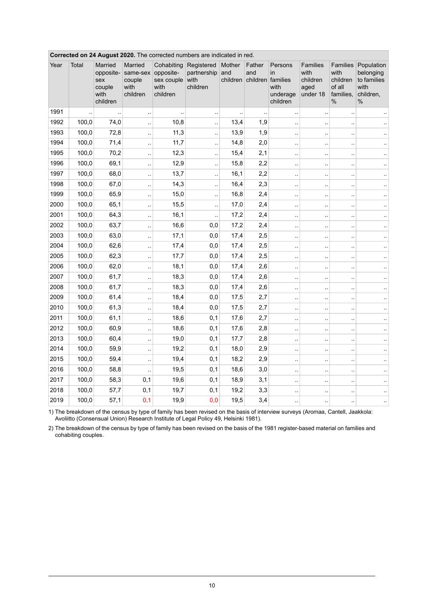|      |       |                                                           |                                                   |                                                           | On 24 August 2020. The corrected numbers are indicated in red. |                           |                                    |                                                |                                                  |                                                             |                                                                     |
|------|-------|-----------------------------------------------------------|---------------------------------------------------|-----------------------------------------------------------|----------------------------------------------------------------|---------------------------|------------------------------------|------------------------------------------------|--------------------------------------------------|-------------------------------------------------------------|---------------------------------------------------------------------|
| Year | Total | Married<br>opposite-<br>sex<br>couple<br>with<br>children | Married<br>same-sex<br>couple<br>with<br>children | Cohabiting<br>opposite-<br>sex couple<br>with<br>children | Registered<br>partnership<br>with<br>children                  | Mother<br>and<br>children | Father<br>and<br>children families | Persons<br>in.<br>with<br>underage<br>children | Families<br>with<br>children<br>aged<br>under 18 | Families<br>with<br>children<br>of all<br>families.<br>$\%$ | Population<br>belonging<br>to families<br>with<br>children,<br>$\%$ |
| 1991 | Ţ,    |                                                           | $\ddot{\phantom{a}}$                              | $\ddot{\phantom{a}}$                                      | $\ddotsc$                                                      | $\ddot{\phantom{0}}$      |                                    | $\ddot{\phantom{0}}$                           |                                                  |                                                             |                                                                     |
| 1992 | 100,0 | 74,0                                                      | ă.                                                | 10,8                                                      | $\ddotsc$                                                      | 13,4                      | 1,9                                | $\ddot{\phantom{a}}$                           | μ.                                               | à.                                                          | $\ddotsc$                                                           |
| 1993 | 100,0 | 72,8                                                      | Ţ,                                                | 11,3                                                      | Ϋ,                                                             | 13,9                      | 1,9                                | Ϋ.                                             |                                                  |                                                             |                                                                     |
| 1994 | 100,0 | 71,4                                                      | $\ddotsc$                                         | 11,7                                                      | Ϋ,                                                             | 14,8                      | 2,0                                | $\ddot{\phantom{a}}$                           | ٠.                                               |                                                             | $\ddotsc$                                                           |
| 1995 | 100,0 | 70,2                                                      | $\ddot{\phantom{a}}$                              | 12,3                                                      | $\ddot{\phantom{a}}$ .                                         | 15,4                      | 2,1                                | $\ddot{\phantom{a}}$                           | $\ddot{\phantom{a}}$                             | $\ddot{\phantom{0}}$                                        | $\ddotsc$                                                           |
| 1996 | 100,0 | 69,1                                                      | $\ddotsc$                                         | 12,9                                                      | Ϋ,                                                             | 15,8                      | 2,2                                | $\bar{\phantom{a}}$                            | .,                                               | $\ddot{\phantom{a}}$                                        | ٠.                                                                  |
| 1997 | 100,0 | 68,0                                                      | $\ddotsc$                                         | 13,7                                                      | $\ddot{\phantom{a}}$                                           | 16,1                      | 2,2                                | $\bar{\nu}$                                    | μ.                                               | à.                                                          | $\ldots$                                                            |
| 1998 | 100,0 | 67,0                                                      | $\ddotsc$                                         | 14,3                                                      | ă.                                                             | 16,4                      | 2,3                                | $\ddot{\phantom{a}}$                           |                                                  |                                                             | $\ddotsc$                                                           |
| 1999 | 100,0 | 65,9                                                      | $\ddot{\phantom{a}}$                              | 15,0                                                      | $\ddot{\phantom{a}}$                                           | 16,8                      | 2,4                                | $\ddotsc$                                      |                                                  |                                                             | $\sim$                                                              |
| 2000 | 100,0 | 65,1                                                      | $\ddot{\phantom{a}}$                              | 15,5                                                      | $\ddotsc$                                                      | 17,0                      | 2,4                                | $\ddot{\phantom{a}}$                           | à.                                               | à.                                                          | $\ddotsc$                                                           |
| 2001 | 100,0 | 64,3                                                      | μ,                                                | 16,1                                                      | $\ddotsc$                                                      | 17,2                      | 2,4                                | $\ddot{\phantom{1}}$                           |                                                  | à.                                                          | $\ddotsc$                                                           |
| 2002 | 100,0 | 63,7                                                      | $\ddotsc$                                         | 16,6                                                      | 0,0                                                            | 17,2                      | 2,4                                | μ,                                             | $\sim$                                           | $\ddot{\phantom{a}}$                                        | $\ddotsc$                                                           |
| 2003 | 100,0 | 63,0                                                      | $\ddotsc$                                         | 17,1                                                      | 0,0                                                            | 17,4                      | 2,5                                | $\ddot{\phantom{a}}$                           |                                                  |                                                             |                                                                     |
| 2004 | 100,0 | 62,6                                                      | $\bar{\mathbf{r}}$                                | 17,4                                                      | 0,0                                                            | 17,4                      | 2,5                                | $\ddotsc$                                      | μ,                                               |                                                             | $\ddot{\phantom{a}}$                                                |
| 2005 | 100,0 | 62,3                                                      | $\ddotsc$                                         | 17,7                                                      | 0,0                                                            | 17,4                      | 2,5                                | $\ddot{\phantom{a}}$                           | ä,                                               | à.                                                          | $\ddotsc$                                                           |
| 2006 | 100,0 | 62,0                                                      | $\ddotsc$                                         | 18,1                                                      | 0,0                                                            | 17,4                      | 2,6                                | $\ddotsc$                                      |                                                  | $\ddotsc$                                                   | $\ddotsc$                                                           |
| 2007 | 100,0 | 61,7                                                      | $\ddotsc$                                         | 18,3                                                      | 0,0                                                            | 17,4                      | 2,6                                | ٠.                                             | $\ddot{\phantom{a}}$                             | $\mathbf{r}$                                                | $\ddotsc$                                                           |
| 2008 | 100,0 | 61,7                                                      | $\ddotsc$                                         | 18,3                                                      | 0,0                                                            | 17,4                      | 2,6                                | $\ddot{\phantom{0}}$                           |                                                  |                                                             | $\cdot$ .                                                           |
| 2009 | 100,0 | 61,4                                                      | ă,                                                | 18,4                                                      | 0,0                                                            | 17,5                      | 2,7                                | $\ddotsc$                                      | μ.                                               | à.                                                          | $\ddotsc$                                                           |
| 2010 | 100,0 | 61,3                                                      | Ţ,                                                | 18,4                                                      | 0,0                                                            | 17,5                      | 2,7                                | $\ddot{\phantom{a}}$                           | μ,                                               |                                                             | $\ddotsc$                                                           |
| 2011 | 100,0 | 61,1                                                      | $\ddotsc$                                         | 18,6                                                      | 0,1                                                            | 17,6                      | 2,7                                | $\ddotsc$                                      | ٠.                                               | $\ddotsc$                                                   | $\ddotsc$                                                           |
| 2012 | 100,0 | 60,9                                                      | ä.                                                | 18,6                                                      | 0,1                                                            | 17,6                      | 2,8                                | $\ddot{\phantom{a}}$                           | $\ddot{\phantom{a}}$                             | $\ddot{\phantom{0}}$                                        | $\sim$                                                              |
| 2013 | 100,0 | 60,4                                                      | ă,                                                | 19,0                                                      | 0,1                                                            | 17,7                      | 2,8                                | $\ddot{\phantom{0}}$                           | $\ddot{\phantom{a}}$                             |                                                             | $\ddotsc$                                                           |
| 2014 | 100,0 | 59,9                                                      | $\bar{\mathcal{L}}$                               | 19,2                                                      | 0,1                                                            | 18,0                      | 2,9                                | $\bar{\nu}$                                    | μ.                                               | à.                                                          | $\ddot{\phantom{1}}$                                                |
| 2015 | 100,0 | 59,4                                                      | $\ddotsc$                                         | 19,4                                                      | 0,1                                                            | 18,2                      | 2,9                                | $\ddot{\phantom{a}}$                           | μ,                                               | $\ddot{\phantom{a}}$                                        |                                                                     |
| 2016 | 100,0 | 58,8                                                      | $\ddotsc$                                         | 19,5                                                      | 0,1                                                            | 18,6                      | 3,0                                | $\ddotsc$                                      | ٠.                                               | $\ddot{\phantom{a}}$                                        | $\cdot$ .                                                           |
| 2017 | 100,0 | 58,3                                                      | 0,1                                               | 19,6                                                      | 0,1                                                            | 18,9                      | 3,1                                | $\ddot{\phantom{a}}$                           | μ.                                               | $\ddot{\phantom{0}}$                                        | $\ddotsc$                                                           |
| 2018 | 100,0 | 57,7                                                      | 0,1                                               | 19,7                                                      | 0,1                                                            | 19,2                      | 3,3                                | ٠.                                             | μ.                                               |                                                             | $\ddot{\phantom{1}}$                                                |
| 2019 | 100,0 | 57,1                                                      | 0,1                                               | 19,9                                                      | 0,0                                                            | 19,5                      | 3,4                                | $\ddot{\phantom{a}}$                           |                                                  | $\ddot{\phantom{a}}$                                        | $\ddot{\phantom{1}}$                                                |

#### **Corrected on 24 August 2020.** The corrected numbers are indicated in red.

The breakdown of the census by type of family has been revised on the basis of interview surveys (Aromaa, Cantell, Jaakkola: Avoliitto (Consensual Union) Research Institute of Legal Policy 49, Helsinki 1981). 1)

2) The breakdown of the census by type of family has been revised on the basis of the 1981 register-based material on families and cohabiting couples.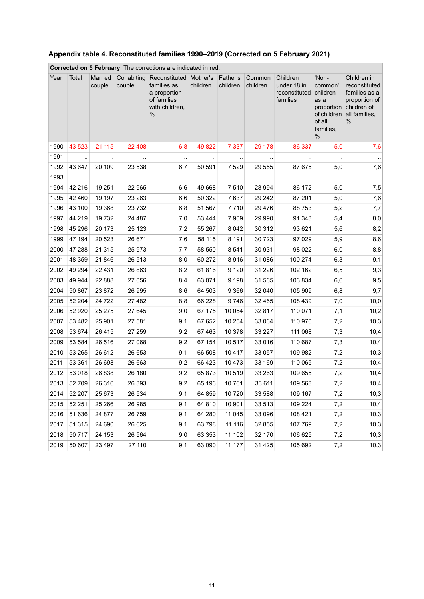|      | Corrected on 5 February. The corrections are indicated in red. |                   |                      |                                                                                             |          |                      |                    |                                                      |                                                                                                  |                                                                                                        |  |  |
|------|----------------------------------------------------------------|-------------------|----------------------|---------------------------------------------------------------------------------------------|----------|----------------------|--------------------|------------------------------------------------------|--------------------------------------------------------------------------------------------------|--------------------------------------------------------------------------------------------------------|--|--|
| Year | Total                                                          | Married<br>couple | Cohabiting<br>couple | Reconstituted Mother's<br>families as<br>a proportion<br>of families<br>with children,<br>% | children | Father's<br>children | Common<br>children | Children<br>under 18 in<br>reconstituted<br>families | 'Non-<br>common'<br>children<br>as a<br>proportion<br>of children<br>of all<br>families,<br>$\%$ | Children in<br>reconstituted<br>families as a<br>proportion of<br>children of<br>all families,<br>$\%$ |  |  |
| 1990 | 43 523                                                         | 21 115            | 22 4 0 8             | 6,8                                                                                         | 49 822   | 7 3 3 7              | 29 178             | 86 337                                               | 5,0                                                                                              | 7,6                                                                                                    |  |  |
| 1991 | $\ddotsc$                                                      |                   |                      | $\ddotsc$                                                                                   |          |                      |                    |                                                      |                                                                                                  | $\ddot{\phantom{1}}$                                                                                   |  |  |
| 1992 | 43 647                                                         | 20 109            | 23 538               | 6,7                                                                                         | 50 591   | 7 5 2 9              | 29 555             | 87 675                                               | 5,0                                                                                              | 7,6                                                                                                    |  |  |
| 1993 | $\ddot{\phantom{0}}$                                           |                   |                      | $\cdot$ .                                                                                   |          | $\ddotsc$            |                    | $\ddot{\phantom{0}}$                                 | $\cdot$                                                                                          | $\sim$                                                                                                 |  |  |
| 1994 | 42 216                                                         | 19 251            | 22 965               | 6,6                                                                                         | 49 668   | 7510                 | 28 994             | 86 172                                               | 5,0                                                                                              | 7,5                                                                                                    |  |  |
| 1995 | 42 460                                                         | 19 197            | 23 263               | 6,6                                                                                         | 50 322   | 7637                 | 29 24 2            | 87 201                                               | 5,0                                                                                              | 7,6                                                                                                    |  |  |
| 1996 | 43 100                                                         | 19 3 68           | 23732                | 6,8                                                                                         | 51 567   | 7710                 | 29 4 7 6           | 88753                                                | 5,2                                                                                              | 7,7                                                                                                    |  |  |
| 1997 | 44 219                                                         | 19732             | 24 487               | 7,0                                                                                         | 53 4 44  | 7 9 0 9              | 29 990             | 91 343                                               | 5,4                                                                                              | 8,0                                                                                                    |  |  |
| 1998 | 45 296                                                         | 20 173            | 25 1 23              | 7,2                                                                                         | 55 267   | 8 0 4 2              | 30 312             | 93 621                                               | 5,6                                                                                              | 8,2                                                                                                    |  |  |
| 1999 | 47 194                                                         | 20 5 23           | 26 671               | 7,6                                                                                         | 58 115   | 8 1 9 1              | 30 7 23            | 97 029                                               | 5,9                                                                                              | 8,6                                                                                                    |  |  |
| 2000 | 47 288                                                         | 21 3 15           | 25 973               | 7,7                                                                                         | 58 550   | 8541                 | 30 931             | 98 0 22                                              | 6,0                                                                                              | 8,8                                                                                                    |  |  |
| 2001 | 48 359                                                         | 21 846            | 26 513               | 8,0                                                                                         | 60 272   | 8916                 | 31 086             | 100 274                                              | 6,3                                                                                              | 9,1                                                                                                    |  |  |
| 2002 | 49 294                                                         | 22 4 31           | 26 863               | 8,2                                                                                         | 61816    | 9 1 2 0              | 31 2 26            | 102 162                                              | 6,5                                                                                              | 9,3                                                                                                    |  |  |
| 2003 | 49 944                                                         | 22 8 8 8          | 27 056               | 8,4                                                                                         | 63 071   | 9 1 9 8              | 31 565             | 103 834                                              | 6,6                                                                                              | 9,5                                                                                                    |  |  |
| 2004 | 50 867                                                         | 23 872            | 26 995               | 8,6                                                                                         | 64 503   | 9 3 6 6              | 32 040             | 105 909                                              | 6,8                                                                                              | 9,7                                                                                                    |  |  |
| 2005 | 52 204                                                         | 24 7 22           | 27 482               | 8,8                                                                                         | 66 228   | 9746                 | 32 4 65            | 108 439                                              | 7,0                                                                                              | 10,0                                                                                                   |  |  |
| 2006 | 52 920                                                         | 25 275            | 27 645               | 9,0                                                                                         | 67 175   | 10 054               | 32 817             | 110 071                                              | 7,1                                                                                              | 10,2                                                                                                   |  |  |
| 2007 | 53 4 82                                                        | 25 901            | 27 581               | 9,1                                                                                         | 67 652   | 10 254               | 33 064             | 110 970                                              | 7,2                                                                                              | 10,3                                                                                                   |  |  |
| 2008 | 53 674                                                         | 26 4 15           | 27 259               | 9,2                                                                                         | 67 463   | 10 378               | 33 227             | 111 068                                              | 7,3                                                                                              | 10,4                                                                                                   |  |  |
| 2009 | 53 584                                                         | 26 516            | 27 068               | 9,2                                                                                         | 67 154   | 10 517               | 33 016             | 110 687                                              | 7,3                                                                                              | 10,4                                                                                                   |  |  |
| 2010 | 53 265                                                         | 26 612            | 26 653               | 9,1                                                                                         | 66 508   | 10 4 17              | 33 057             | 109 982                                              | 7,2                                                                                              | 10,3                                                                                                   |  |  |
| 2011 | 53 361                                                         | 26 698            | 26 663               | 9,2                                                                                         | 66 423   | 10 473               | 33 169             | 110 065                                              | 7,2                                                                                              | 10,4                                                                                                   |  |  |
| 2012 | 53 018                                                         | 26 838            | 26 180               | 9,2                                                                                         | 65 873   | 10 519               | 33 263             | 109 655                                              | 7,2                                                                                              | 10,4                                                                                                   |  |  |
| 2013 | 52 709                                                         | 26 316            | 26 393               | 9,2                                                                                         | 65 196   | 10761                | 33 611             | 109 568                                              | 7,2                                                                                              | 10,4                                                                                                   |  |  |
| 2014 | 52 207                                                         | 25 673            | 26 534               | 9,1                                                                                         | 64 859   | 10 720               | 33 588             | 109 167                                              | 7,2                                                                                              | 10,3                                                                                                   |  |  |
| 2015 | 52 251                                                         | 25 26 6           | 26 985               | 9,1                                                                                         | 64 810   | 10 901               | 33 513             | 109 224                                              | 7,2                                                                                              | 10,4                                                                                                   |  |  |
| 2016 | 51 636                                                         | 24 877            | 26 759               | 9,1                                                                                         | 64 280   | 11 045               | 33 096             | 108 421                                              | 7,2                                                                                              | 10,3                                                                                                   |  |  |
| 2017 | 51 315                                                         | 24 690            | 26 6 25              | 9,1                                                                                         | 63798    | 11 116               | 32 855             | 107 769                                              | 7,2                                                                                              | 10,3                                                                                                   |  |  |
| 2018 | 50 717                                                         | 24 153            | 26 5 64              | 9,0                                                                                         | 63 353   | 11 102               | 32 170             | 106 625                                              | 7,2                                                                                              | 10,3                                                                                                   |  |  |
| 2019 | 50 607                                                         | 23 4 9 7          | 27 110               | 9,1                                                                                         | 63 090   | 11 177               | 31 4 25            | 105 692                                              | 7,2                                                                                              | 10,3                                                                                                   |  |  |

### <span id="page-10-0"></span>**Appendix table 4. Reconstituted families 1990–2019 (Corrected on 5 February 2021)**

11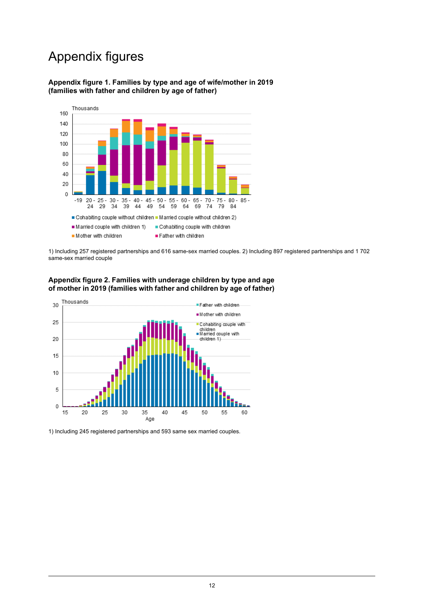## Appendix figures

#### <span id="page-11-0"></span>**Appendix figure 1. Families by type and age of wife/mother in 2019 (families with father and children by age of father)**



<span id="page-11-1"></span>1) Including 257 registered partnerships and 616 same-sex married couples. 2) Including 897 registered partnerships and 1 702 same-sex married couple





1) Including 245 registered partnerships and 593 same sex married couples.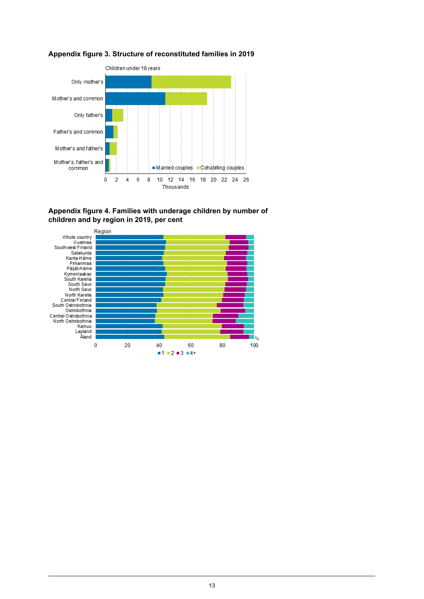

#### <span id="page-12-0"></span>**Appendix figure 3. Structure of reconstituted families in 2019**

<span id="page-12-1"></span>

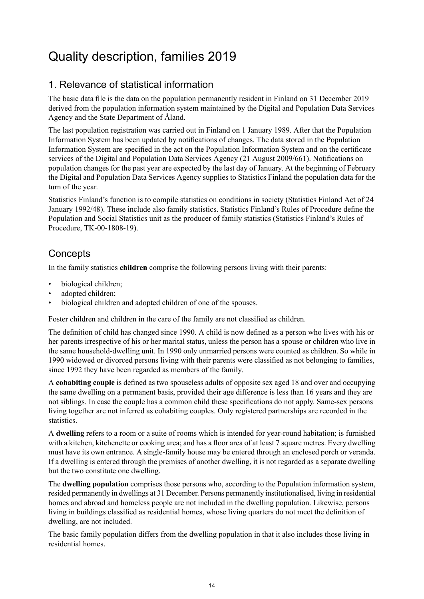## <span id="page-13-0"></span>Quality description, families 2019

## 1. Relevance of statistical information

The basic data file is the data on the population permanently resident in Finland on 31 December 2019 derived from the population information system maintained by the Digital and Population Data Services Agency and the State Department of Åland.

The last population registration was carried out in Finland on 1 January 1989. After that the Population Information System has been updated by notifications of changes. The data stored in the Population Information System are specified in the act on the Population Information System and on the certificate services of the Digital and Population Data Services Agency (21 August 2009/661). Notifications on population changes for the past year are expected by the last day of January. At the beginning of February the Digital and Population Data Services Agency supplies to Statistics Finland the population data for the turn of the year.

Statistics Finland's function is to compile statistics on conditions in society (Statistics Finland Act of 24 January 1992/48). These include also family statistics. Statistics Finland's Rules of Procedure define the Population and Social Statistics unit as the producer of family statistics (Statistics Finland's Rules of Procedure, TK-00-1808-19).

## **Concepts**

In the family statistics **children** comprise the following persons living with their parents:

- biological children;
- adopted children:
- biological children and adopted children of one of the spouses.

Foster children and children in the care of the family are not classified as children.

The definition of child has changed since 1990. A child is now defined as a person who lives with his or her parents irrespective of his or her marital status, unless the person has a spouse or children who live in the same household-dwelling unit. In 1990 only unmarried persons were counted as children. So while in 1990 widowed or divorced persons living with their parents were classified as not belonging to families, since 1992 they have been regarded as members of the family.

A **cohabiting couple** is defined as two spouseless adults of opposite sex aged 18 and over and occupying the same dwelling on a permanent basis, provided their age difference is less than 16 years and they are not siblings. In case the couple has a common child these specifications do not apply. Same-sex persons living together are not inferred as cohabiting couples. Only registered partnerships are recorded in the statistics.

A **dwelling** refers to a room or a suite of rooms which is intended for year-round habitation; is furnished with a kitchen, kitchenette or cooking area; and has a floor area of at least 7 square metres. Every dwelling must have its own entrance. A single-family house may be entered through an enclosed porch or veranda. If a dwelling is entered through the premises of another dwelling, it is not regarded as a separate dwelling but the two constitute one dwelling.

The **dwelling population** comprises those persons who, according to the Population information system, resided permanently in dwellings at 31 December. Persons permanently institutionalised, living in residential homes and abroad and homeless people are not included in the dwelling population. Likewise, persons living in buildings classified as residential homes, whose living quarters do not meet the definition of dwelling, are not included.

The basic family population differs from the dwelling population in that it also includes those living in residential homes.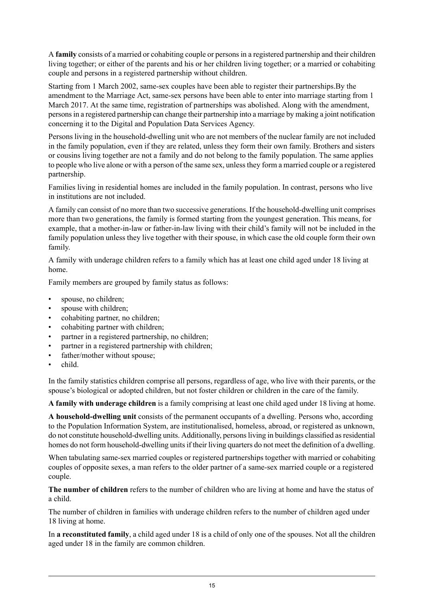A **family** consists of a married or cohabiting couple or personsin a registered partnership and their children living together; or either of the parents and his or her children living together; or a married or cohabiting couple and persons in a registered partnership without children.

Starting from 1 March 2002, same-sex couples have been able to register their partnerships.By the amendment to the Marriage Act, same-sex persons have been able to enter into marriage starting from 1 March 2017. At the same time, registration of partnerships was abolished. Along with the amendment, personsin a registered partnership can change their partnership into a marriage by making a joint notification concerning it to the Digital and Population Data Services Agency.

Persons living in the household-dwelling unit who are not members of the nuclear family are not included in the family population, even if they are related, unless they form their own family. Brothers and sisters or cousins living together are not a family and do not belong to the family population. The same applies to people who live alone or with a person of the same sex, unlessthey form a married couple or a registered partnership.

Families living in residential homes are included in the family population. In contrast, persons who live in institutions are not included.

A family can consist of no more than two successive generations. If the household-dwelling unit comprises more than two generations, the family is formed starting from the youngest generation. This means, for example, that a mother-in-law or father-in-law living with their child's family will not be included in the family population unless they live together with their spouse, in which case the old couple form their own family.

A family with underage children refers to a family which has at least one child aged under 18 living at home.

Family members are grouped by family status as follows:

- spouse, no children;
- spouse with children;
- cohabiting partner, no children;
- cohabiting partner with children;
- partner in a registered partnership, no children;
- partner in a registered partnership with children;
- father/mother without spouse;
- child.

In the family statistics children comprise all persons, regardless of age, who live with their parents, or the spouse's biological or adopted children, but not foster children or children in the care of the family.

**A family with underage children** is a family comprising at least one child aged under 18 living at home.

**A household-dwelling unit** consists of the permanent occupants of a dwelling. Persons who, according to the Population Information System, are institutionalised, homeless, abroad, or registered as unknown, do not constitute household-dwelling units. Additionally, personsliving in buildings classified asresidential homes do not form household-dwelling unitsif their living quarters do not meet the definition of a dwelling.

When tabulating same-sex married couples or registered partnerships together with married or cohabiting couples of opposite sexes, a man refers to the older partner of a same-sex married couple or a registered couple.

**The number of children** refers to the number of children who are living at home and have the status of a child.

The number of children in families with underage children refers to the number of children aged under 18 living at home.

In **a reconstituted family**, a child aged under 18 is a child of only one of the spouses. Not all the children aged under 18 in the family are common children.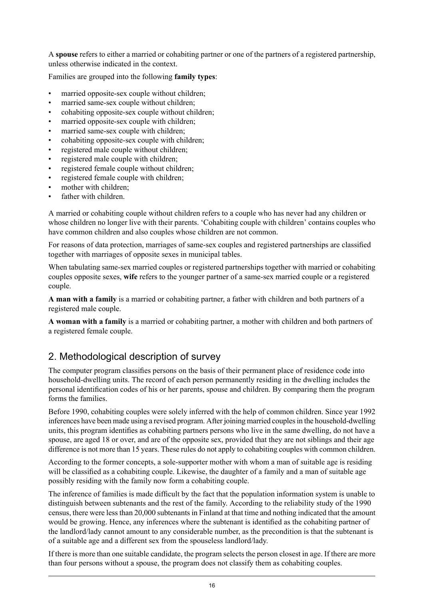A **spouse** refers to either a married or cohabiting partner or one of the partners of a registered partnership, unless otherwise indicated in the context.

Families are grouped into the following **family types**:

- married opposite-sex couple without children;
- married same-sex couple without children;
- cohabiting opposite-sex couple without children;
- married opposite-sex couple with children;
- married same-sex couple with children;
- cohabiting opposite-sex couple with children;
- registered male couple without children;
- registered male couple with children;
- registered female couple without children;
- registered female couple with children;
- mother with children:
- father with children.

A married or cohabiting couple without children refers to a couple who has never had any children or whose children no longer live with their parents. 'Cohabiting couple with children' contains couples who have common children and also couples whose children are not common.

For reasons of data protection, marriages of same-sex couples and registered partnerships are classified together with marriages of opposite sexes in municipal tables.

When tabulating same-sex married couples or registered partnerships together with married or cohabiting couples opposite sexes, **wife** refers to the younger partner of a same-sex married couple or a registered couple.

**A man with a family** is a married or cohabiting partner, a father with children and both partners of a registered male couple.

**A woman with a family** is a married or cohabiting partner, a mother with children and both partners of a registered female couple.

## 2. Methodological description of survey

The computer program classifies persons on the basis of their permanent place of residence code into household-dwelling units. The record of each person permanently residing in the dwelling includes the personal identification codes of his or her parents, spouse and children. By comparing them the program forms the families.

Before 1990, cohabiting couples were solely inferred with the help of common children. Since year 1992 inferences have been made using a revised program. After joining married couplesin the household-dwelling units, this program identifies as cohabiting partners persons who live in the same dwelling, do not have a spouse, are aged 18 or over, and are of the opposite sex, provided that they are not siblings and their age difference is not more than 15 years. These rules do not apply to cohabiting couples with common children.

According to the former concepts, a sole-supporter mother with whom a man of suitable age is residing will be classified as a cohabiting couple. Likewise, the daughter of a family and a man of suitable age possibly residing with the family now form a cohabiting couple.

The inference of families is made difficult by the fact that the population information system is unable to distinguish between subtenants and the rest of the family. According to the reliability study of the 1990 census, there were lessthan 20,000 subtenantsin Finland at that time and nothing indicated that the amount would be growing. Hence, any inferences where the subtenant is identified as the cohabiting partner of the landlord/lady cannot amount to any considerable number, as the precondition is that the subtenant is of a suitable age and a different sex from the spouseless landlord/lady.

If there is more than one suitable candidate, the program selects the person closest in age. If there are more than four persons without a spouse, the program does not classify them as cohabiting couples.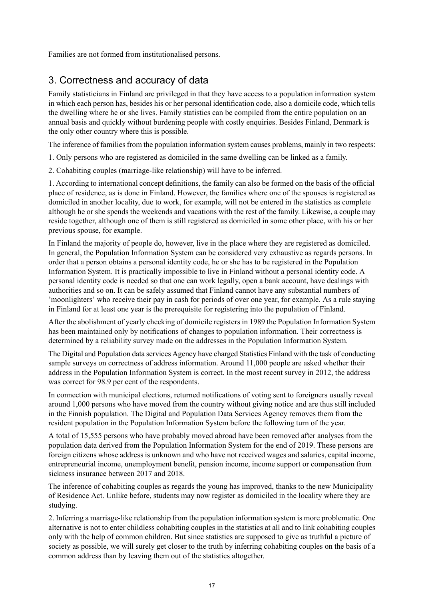Families are not formed from institutionalised persons.

## 3. Correctness and accuracy of data

Family statisticians in Finland are privileged in that they have access to a population information system in which each person has, besides his or her personal identification code, also a domicile code, which tells the dwelling where he or she lives. Family statistics can be compiled from the entire population on an annual basis and quickly without burdening people with costly enquiries. Besides Finland, Denmark is the only other country where this is possible.

The inference of families from the population information system causes problems, mainly in two respects:

- 1. Only persons who are registered as domiciled in the same dwelling can be linked as a family.
- 2. Cohabiting couples (marriage-like relationship) will have to be inferred.

1. According to international concept definitions, the family can also be formed on the basis of the official place of residence, as is done in Finland. However, the families where one of the spouses is registered as domiciled in another locality, due to work, for example, will not be entered in the statistics as complete although he or she spends the weekends and vacations with the rest of the family. Likewise, a couple may reside together, although one of them is still registered as domiciled in some other place, with his or her previous spouse, for example.

In Finland the majority of people do, however, live in the place where they are registered as domiciled. In general, the Population Information System can be considered very exhaustive as regards persons. In order that a person obtains a personal identity code, he or she has to be registered in the Population Information System. It is practically impossible to live in Finland without a personal identity code. A personal identity code is needed so that one can work legally, open a bank account, have dealings with authorities and so on. It can be safely assumed that Finland cannot have any substantial numbers of 'moonlighters' who receive their pay in cash for periods of over one year, for example. As a rule staying in Finland for at least one year is the prerequisite for registering into the population of Finland.

After the abolishment of yearly checking of domicile registers in 1989 the Population Information System has been maintained only by notifications of changes to population information. Their correctness is determined by a reliability survey made on the addresses in the Population Information System.

The Digital and Population data services Agency have charged Statistics Finland with the task of conducting sample surveys on correctness of address information. Around 11,000 people are asked whether their address in the Population Information System is correct. In the most recent survey in 2012, the address was correct for 98.9 per cent of the respondents.

In connection with municipal elections, returned notifications of voting sent to foreigners usually reveal around 1,000 persons who have moved from the country without giving notice and are thus still included in the Finnish population. The Digital and Population Data Services Agency removes them from the resident population in the Population Information System before the following turn of the year.

A total of 15,555 persons who have probably moved abroad have been removed after analyses from the population data derived from the Population Information System for the end of 2019. These persons are foreign citizens whose address is unknown and who have not received wages and salaries, capital income, entrepreneurial income, unemployment benefit, pension income, income support or compensation from sickness insurance between 2017 and 2018.

The inference of cohabiting couples as regards the young has improved, thanks to the new Municipality of Residence Act. Unlike before, students may now register as domiciled in the locality where they are studying.

2. Inferring a marriage-like relationship from the population information system is more problematic. One alternative is not to enter childless cohabiting couples in the statistics at all and to link cohabiting couples only with the help of common children. But since statistics are supposed to give as truthful a picture of society as possible, we will surely get closer to the truth by inferring cohabiting couples on the basis of a common address than by leaving them out of the statistics altogether.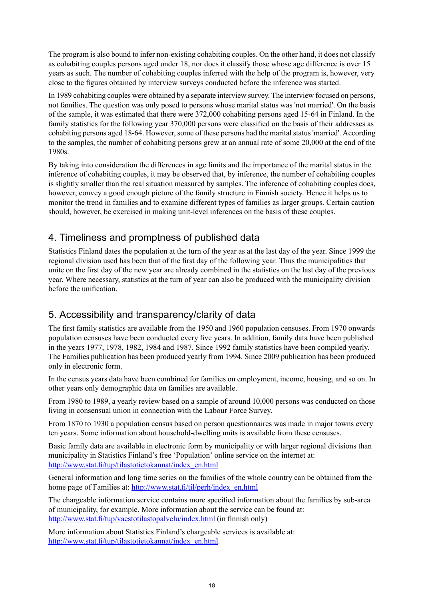The program is also bound to infer non-existing cohabiting couples. On the other hand, it does not classify as cohabiting couples persons aged under 18, nor does it classify those whose age difference is over 15 years as such. The number of cohabiting couples inferred with the help of the program is, however, very close to the figures obtained by interview surveys conducted before the inference was started.

In 1989 cohabiting couples were obtained by a separate interview survey. The interview focused on persons, not families. The question was only posed to persons whose marital status was 'not married'. On the basis of the sample, it was estimated that there were 372,000 cohabiting persons aged 15-64 in Finland. In the family statistics for the following year 370,000 persons were classified on the basis of their addresses as cohabiting persons aged 18-64. However, some of these persons had the marital status 'married'. According to the samples, the number of cohabiting persons grew at an annual rate of some 20,000 at the end of the 1980s.

By taking into consideration the differences in age limits and the importance of the marital status in the inference of cohabiting couples, it may be observed that, by inference, the number of cohabiting couples is slightly smaller than the real situation measured by samples. The inference of cohabiting couples does, however, convey a good enough picture of the family structure in Finnish society. Hence it helps us to monitor the trend in families and to examine different types of families as larger groups. Certain caution should, however, be exercised in making unit-level inferences on the basis of these couples.

## 4. Timeliness and promptness of published data

Statistics Finland dates the population at the turn of the year as at the last day of the year. Since 1999 the regional division used has been that of the first day of the following year. Thus the municipalities that unite on the first day of the new year are already combined in the statistics on the last day of the previous year. Where necessary, statistics at the turn of year can also be produced with the municipality division before the unification.

## 5. Accessibility and transparency/clarity of data

The first family statistics are available from the 1950 and 1960 population censuses. From 1970 onwards population censuses have been conducted every five years. In addition, family data have been published in the years 1977, 1978, 1982, 1984 and 1987. Since 1992 family statistics have been compiled yearly. The Families publication has been produced yearly from 1994. Since 2009 publication has been produced only in electronic form.

In the census years data have been combined for families on employment, income, housing, and so on. In other years only demographic data on families are available.

From 1980 to 1989, a yearly review based on a sample of around 10,000 persons was conducted on those living in consensual union in connection with the Labour Force Survey.

From 1870 to 1930 a population census based on person questionnaires was made in major towns every ten years. Some information about household-dwelling units is available from these censuses.

Basic family data are available in electronic form by municipality or with larger regional divisions than municipality in Statistics Finland's free 'Population' online service on the internet at: [http://www.stat.fi/tup/tilastotietokannat/index\\_en.html](http://www.stat.fi/tup/tilastotietokannat/index_en.html)

General information and long time series on the families of the whole country can be obtained from the home page of Families at: [http://www.stat.fi/til/perh/index\\_en.html](http://www.stat.fi/til/perh/index_en.html)

The chargeable information service contains more specified information about the families by sub-area of municipality, for example. More information about the service can be found at: <http://www.stat.fi/tup/vaestotilastopalvelu/index.html> (in finnish only)

More information about Statistics Finland's chargeable services is available at: [http://www.stat.fi/tup/tilastotietokannat/index\\_en.html](http://www.stat.fi/tup/tilastotietokannat/index_en.html).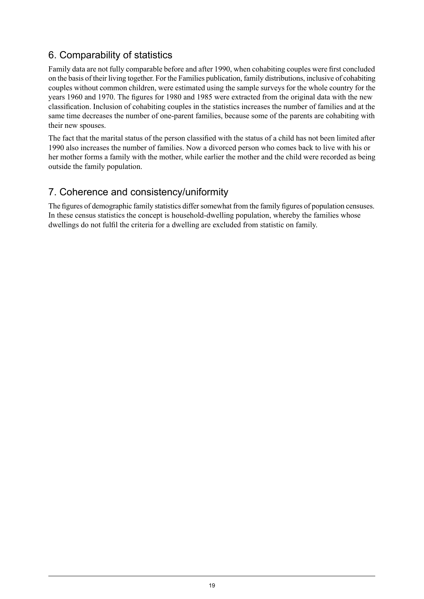## 6. Comparability of statistics

Family data are not fully comparable before and after 1990, when cohabiting couples were first concluded on the basis of their living together. For the Families publication, family distributions, inclusive of cohabiting couples without common children, were estimated using the sample surveys for the whole country for the years 1960 and 1970. The figures for 1980 and 1985 were extracted from the original data with the new classification. Inclusion of cohabiting couples in the statistics increases the number of families and at the same time decreases the number of one-parent families, because some of the parents are cohabiting with their new spouses.

The fact that the marital status of the person classified with the status of a child has not been limited after 1990 also increases the number of families. Now a divorced person who comes back to live with his or her mother forms a family with the mother, while earlier the mother and the child were recorded as being outside the family population.

## 7. Coherence and consistency/uniformity

The figures of demographic family statistics differ somewhat from the family figures of population censuses. In these census statistics the concept is household-dwelling population, whereby the families whose dwellings do not fulfil the criteria for a dwelling are excluded from statistic on family.